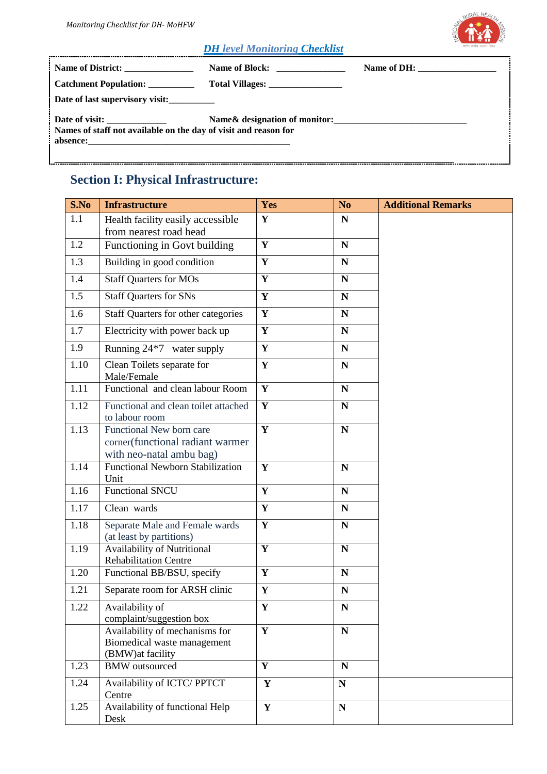

#### *DH level Monitoring Checklist*

| Name of District: _______________                               |                               | Name of DH: $\_\_\_\_\_\_\_\_\_\_\_\_$ |
|-----------------------------------------------------------------|-------------------------------|----------------------------------------|
| Catchment Population: _________                                 |                               |                                        |
| Date of last supervisory visit:                                 |                               |                                        |
| Names of staff not available on the day of visit and reason for | Name& designation of monitor: |                                        |

## **Section I: Physical Infrastructure:**

| S.No | <b>Infrastructure</b>                                                                    | Yes                     | N <sub>o</sub> | <b>Additional Remarks</b> |
|------|------------------------------------------------------------------------------------------|-------------------------|----------------|---------------------------|
| 1.1  | Health facility easily accessible<br>from nearest road head                              | $\mathbf{Y}$            | ${\bf N}$      |                           |
| 1.2  | Functioning in Govt building                                                             | $\mathbf{Y}$            | $\mathbf N$    |                           |
| 1.3  | Building in good condition                                                               | $\overline{\mathbf{Y}}$ | ${\bf N}$      |                           |
| 1.4  | <b>Staff Quarters for MOs</b>                                                            | $\mathbf{Y}$            | ${\bf N}$      |                           |
| 1.5  | <b>Staff Quarters for SNs</b>                                                            | $\mathbf{Y}$            | $\mathbf N$    |                           |
| 1.6  | Staff Quarters for other categories                                                      | $\mathbf{Y}$            | $\mathbf N$    |                           |
| 1.7  | Electricity with power back up                                                           | Y                       | $\mathbf N$    |                           |
| 1.9  | Running 24*7 water supply                                                                | $\mathbf{Y}$            | ${\bf N}$      |                           |
| 1.10 | Clean Toilets separate for<br>Male/Female                                                | $\mathbf{Y}$            | ${\bf N}$      |                           |
| 1.11 | Functional and clean labour Room                                                         | $\overline{\mathbf{Y}}$ | ${\bf N}$      |                           |
| 1.12 | Functional and clean toilet attached<br>to labour room                                   | $\overline{\mathbf{Y}}$ | ${\bf N}$      |                           |
| 1.13 | Functional New born care<br>corner(functional radiant warmer<br>with neo-natal ambu bag) | $\mathbf{Y}$            | ${\bf N}$      |                           |
| 1.14 | <b>Functional Newborn Stabilization</b><br>Unit                                          | $\mathbf{Y}$            | ${\bf N}$      |                           |
| 1.16 | <b>Functional SNCU</b>                                                                   | $\mathbf{Y}$            | ${\bf N}$      |                           |
| 1.17 | Clean wards                                                                              | $\mathbf{Y}$            | ${\bf N}$      |                           |
| 1.18 | Separate Male and Female wards<br>(at least by partitions)                               | $\mathbf{Y}$            | ${\bf N}$      |                           |
| 1.19 | Availability of Nutritional<br><b>Rehabilitation Centre</b>                              | $\overline{\mathbf{Y}}$ | ${\bf N}$      |                           |
| 1.20 | Functional BB/BSU, specify                                                               | $\mathbf{Y}$            | $\mathbf N$    |                           |
| 1.21 | Separate room for ARSH clinic                                                            | Y                       | ${\bf N}$      |                           |
| 1.22 | Availability of<br>complaint/suggestion box                                              | Y                       | ${\bf N}$      |                           |
|      | Availability of mechanisms for<br>Biomedical waste management<br>(BMW) at facility       | $\mathbf{Y}$            | N              |                           |
| 1.23 | <b>BMW</b> outsourced                                                                    | $\overline{\mathbf{Y}}$ | $\mathbf N$    |                           |
| 1.24 | Availability of ICTC/ PPTCT<br>Centre                                                    | $\mathbf Y$             | N              |                           |
| 1.25 | Availability of functional Help<br>Desk                                                  | $\mathbf Y$             | ${\bf N}$      |                           |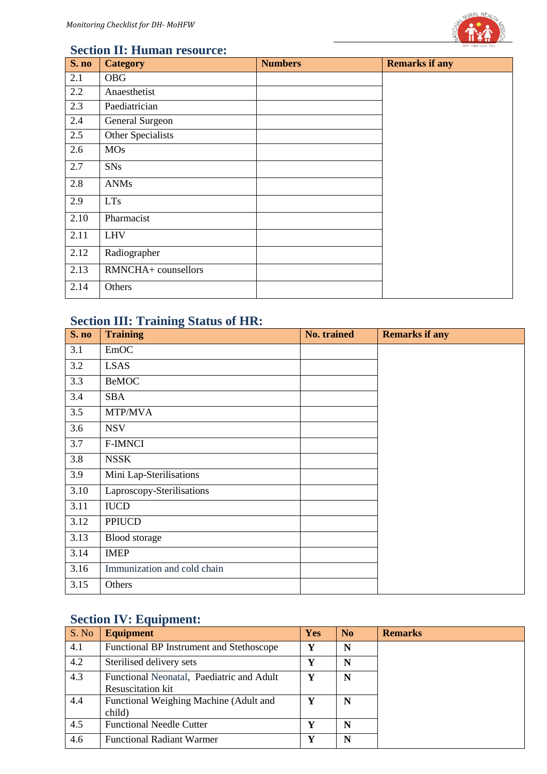

#### **Section II: Human resource:**

| S. no | <b>Category</b>     | <b>Numbers</b> | <b>Remarks if any</b> |
|-------|---------------------|----------------|-----------------------|
| 2.1   | <b>OBG</b>          |                |                       |
| 2.2   | Anaesthetist        |                |                       |
| 2.3   | Paediatrician       |                |                       |
| 2.4   | General Surgeon     |                |                       |
| 2.5   | Other Specialists   |                |                       |
| 2.6   | <b>MOs</b>          |                |                       |
| 2.7   | <b>SNs</b>          |                |                       |
| 2.8   | <b>ANMs</b>         |                |                       |
| 2.9   | <b>LTs</b>          |                |                       |
| 2.10  | Pharmacist          |                |                       |
| 2.11  | <b>LHV</b>          |                |                       |
| 2.12  | Radiographer        |                |                       |
| 2.13  | RMNCHA+ counsellors |                |                       |
| 2.14  | Others              |                |                       |

### **Section III: Training Status of HR:**

| S. no | <b>Training</b>             | No. trained | <b>Remarks if any</b> |
|-------|-----------------------------|-------------|-----------------------|
| 3.1   | EmOC                        |             |                       |
| 3.2   | <b>LSAS</b>                 |             |                       |
| 3.3   | <b>BeMOC</b>                |             |                       |
| 3.4   | <b>SBA</b>                  |             |                       |
| 3.5   | MTP/MVA                     |             |                       |
| 3.6   | <b>NSV</b>                  |             |                       |
| 3.7   | <b>F-IMNCI</b>              |             |                       |
| 3.8   | <b>NSSK</b>                 |             |                       |
| 3.9   | Mini Lap-Sterilisations     |             |                       |
| 3.10  | Laproscopy-Sterilisations   |             |                       |
| 3.11  | <b>IUCD</b>                 |             |                       |
| 3.12  | PPIUCD                      |             |                       |
| 3.13  | Blood storage               |             |                       |
| 3.14  | <b>IMEP</b>                 |             |                       |
| 3.16  | Immunization and cold chain |             |                       |
| 3.15  | Others                      |             |                       |

### **Section IV: Equipment:**

| S. No | <b>Equipment</b>                                                      | <b>Yes</b> | N <sub>0</sub> | <b>Remarks</b> |
|-------|-----------------------------------------------------------------------|------------|----------------|----------------|
| 4.1   | Functional BP Instrument and Stethoscope                              | V          | N              |                |
| 4.2   | Sterilised delivery sets                                              | v          | N              |                |
| 4.3   | Functional Neonatal, Paediatric and Adult<br><b>Resuscitation kit</b> | Y          | N              |                |
| 4.4   | Functional Weighing Machine (Adult and<br>child)                      | v          | N              |                |
| 4.5   | <b>Functional Needle Cutter</b>                                       | V          | N              |                |
| 4.6   | <b>Functional Radiant Warmer</b>                                      | v          | N              |                |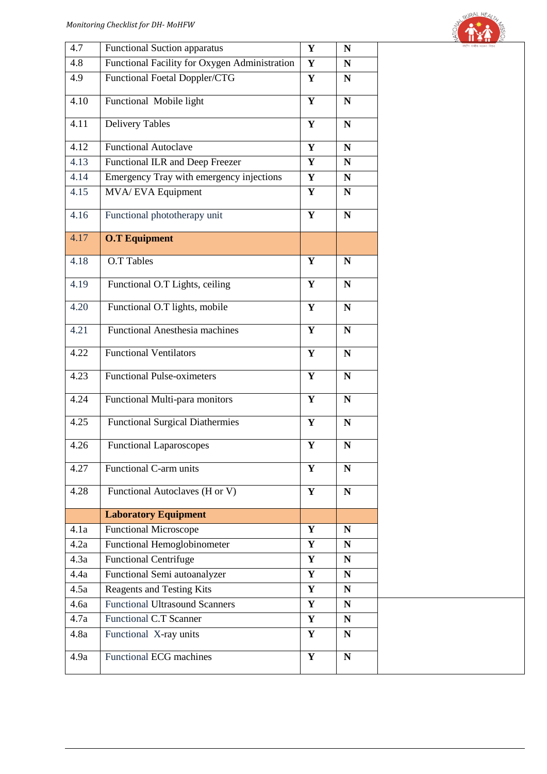

| 4.7  | <b>Functional Suction apparatus</b>           | $\mathbf Y$ | N           | राष्ट्रीय ग्रामीण स्वास्त |
|------|-----------------------------------------------|-------------|-------------|---------------------------|
| 4.8  | Functional Facility for Oxygen Administration | $\mathbf Y$ | $\mathbf N$ |                           |
| 4.9  | Functional Foetal Doppler/CTG                 | $\mathbf Y$ | $\mathbf N$ |                           |
| 4.10 | Functional Mobile light                       | $\mathbf Y$ | ${\bf N}$   |                           |
| 4.11 | <b>Delivery Tables</b>                        | $\mathbf Y$ | ${\bf N}$   |                           |
| 4.12 | <b>Functional Autoclave</b>                   | $\mathbf Y$ | ${\bf N}$   |                           |
| 4.13 | Functional ILR and Deep Freezer               | $\mathbf Y$ | ${\bf N}$   |                           |
| 4.14 | Emergency Tray with emergency injections      | ${\bf Y}$   | ${\bf N}$   |                           |
| 4.15 | MVA/ EVA Equipment                            | $\mathbf Y$ | ${\bf N}$   |                           |
| 4.16 | Functional phototherapy unit                  | $\mathbf Y$ | ${\bf N}$   |                           |
| 4.17 | <b>O.T Equipment</b>                          |             |             |                           |
| 4.18 | <b>O.T Tables</b>                             | $\mathbf Y$ | $\mathbf N$ |                           |
| 4.19 | Functional O.T Lights, ceiling                | $\mathbf Y$ | $\mathbf N$ |                           |
| 4.20 | Functional O.T lights, mobile                 | $\mathbf Y$ | ${\bf N}$   |                           |
| 4.21 | <b>Functional Anesthesia machines</b>         | $\mathbf Y$ | ${\bf N}$   |                           |
| 4.22 | Functional Ventilators                        | Y           | N           |                           |
| 4.23 | <b>Functional Pulse-oximeters</b>             | $\mathbf Y$ | ${\bf N}$   |                           |
| 4.24 | Functional Multi-para monitors                | $\mathbf Y$ | $\mathbf N$ |                           |
| 4.25 | <b>Functional Surgical Diathermies</b>        | $\mathbf Y$ | ${\bf N}$   |                           |
| 4.26 | <b>Functional Laparoscopes</b>                | $\mathbf Y$ | ${\bf N}$   |                           |
| 4.27 | Functional C-arm units                        | Y           | $\mathbf N$ |                           |
| 4.28 | Functional Autoclaves (H or V)                | Y           | $\mathbf N$ |                           |
|      | <b>Laboratory Equipment</b>                   |             |             |                           |
| 4.1a | <b>Functional Microscope</b>                  | Y           | N           |                           |
| 4.2a | Functional Hemoglobinometer                   | $\mathbf Y$ | N           |                           |
| 4.3a | <b>Functional Centrifuge</b>                  | $\mathbf Y$ | ${\bf N}$   |                           |
| 4.4a | Functional Semi autoanalyzer                  | ${\bf Y}$   | N           |                           |
| 4.5a | <b>Reagents and Testing Kits</b>              | $\mathbf Y$ | $\mathbf N$ |                           |
| 4.6a | <b>Functional Ultrasound Scanners</b>         | $\mathbf Y$ | ${\bf N}$   |                           |
| 4.7a | Functional C.T Scanner                        | $\mathbf Y$ | ${\bf N}$   |                           |
| 4.8a | Functional X-ray units                        | Y           | N           |                           |
| 4.9a | <b>Functional ECG machines</b>                | $\mathbf Y$ | N           |                           |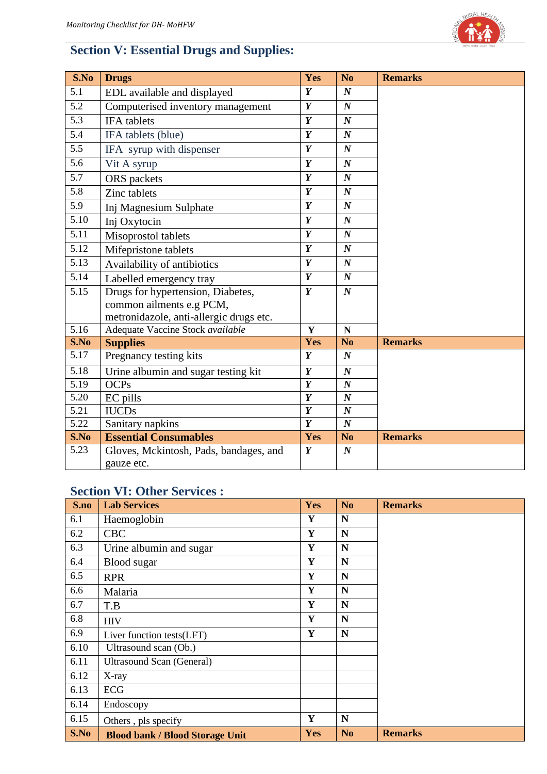

# **Section V: Essential Drugs and Supplies:**

| S.No              | <b>Drugs</b>                            | Yes              | N <sub>o</sub>   | <b>Remarks</b> |
|-------------------|-----------------------------------------|------------------|------------------|----------------|
| 5.1               | EDL available and displayed             | Y                | $\boldsymbol{N}$ |                |
| 5.2               | Computerised inventory management       | $\boldsymbol{Y}$ | $\boldsymbol{N}$ |                |
| 5.3               | IFA tablets                             | $\boldsymbol{Y}$ | $\boldsymbol{N}$ |                |
| 5.4               | IFA tablets (blue)                      | $\boldsymbol{Y}$ | $\boldsymbol{N}$ |                |
| 5.5               | IFA syrup with dispenser                | $\boldsymbol{Y}$ | $\boldsymbol{N}$ |                |
| 5.6               | Vit A syrup                             | $\boldsymbol{Y}$ | $\boldsymbol{N}$ |                |
| 5.7               | ORS packets                             | Y                | $\boldsymbol{N}$ |                |
| $\overline{5.8}$  | Zinc tablets                            | $\overline{Y}$   | $\boldsymbol{N}$ |                |
| 5.9               | Inj Magnesium Sulphate                  | $\boldsymbol{Y}$ | $\boldsymbol{N}$ |                |
| 5.10              | Inj Oxytocin                            | $\boldsymbol{Y}$ | $\boldsymbol{N}$ |                |
| 5.11              | Misoprostol tablets                     | $\boldsymbol{Y}$ | $\boldsymbol{N}$ |                |
| 5.12              | Mifepristone tablets                    | $\boldsymbol{Y}$ | $\boldsymbol{N}$ |                |
| $\overline{5.13}$ | Availability of antibiotics             | $\overline{Y}$   | $\boldsymbol{N}$ |                |
| 5.14              | Labelled emergency tray                 | $\boldsymbol{Y}$ | $\boldsymbol{N}$ |                |
| 5.15              | Drugs for hypertension, Diabetes,       | $\boldsymbol{Y}$ | $\boldsymbol{N}$ |                |
|                   | common ailments e.g PCM,                |                  |                  |                |
|                   | metronidazole, anti-allergic drugs etc. |                  |                  |                |
| 5.16              | Adequate Vaccine Stock available        | $\mathbf{Y}$     | $\mathbf N$      |                |
| S.No              | <b>Supplies</b>                         | Yes              | N <sub>o</sub>   | <b>Remarks</b> |
| 5.17              | Pregnancy testing kits                  | $\boldsymbol{Y}$ | $\boldsymbol{N}$ |                |
| 5.18              | Urine albumin and sugar testing kit     | $\overline{Y}$   | $\boldsymbol{N}$ |                |
| 5.19              | <b>OCPs</b>                             | $\overline{Y}$   | $\boldsymbol{N}$ |                |
| 5.20              | EC pills                                | $\overline{Y}$   | $\boldsymbol{N}$ |                |
| 5.21              | <b>IUCDs</b>                            | $\boldsymbol{Y}$ | $\boldsymbol{N}$ |                |
| 5.22              | Sanitary napkins                        | $\boldsymbol{Y}$ | $\boldsymbol{N}$ |                |
| S.No              | <b>Essential Consumables</b>            | Yes              | N <sub>o</sub>   | <b>Remarks</b> |
| 5.23              | Gloves, Mckintosh, Pads, bandages, and  | $\boldsymbol{Y}$ | $\boldsymbol{N}$ |                |
|                   | gauze etc.                              |                  |                  |                |

### **Section VI: Other Services :**

| S.no | <b>Lab Services</b>                    | Yes        | N <sub>o</sub> | <b>Remarks</b> |
|------|----------------------------------------|------------|----------------|----------------|
| 6.1  | Haemoglobin                            | Y          | N              |                |
| 6.2  | <b>CBC</b>                             | Y          | N              |                |
| 6.3  | Urine albumin and sugar                | Y          | N              |                |
| 6.4  | Blood sugar                            | Y          | N              |                |
| 6.5  | <b>RPR</b>                             | Y          | N              |                |
| 6.6  | Malaria                                | Y          | N              |                |
| 6.7  | T.B                                    | Y          | N              |                |
| 6.8  | <b>HIV</b>                             | Y          | N              |                |
| 6.9  | Liver function tests(LFT)              | Y          | N              |                |
| 6.10 | Ultrasound scan (Ob.)                  |            |                |                |
| 6.11 | <b>Ultrasound Scan (General)</b>       |            |                |                |
| 6.12 | X-ray                                  |            |                |                |
| 6.13 | ECG                                    |            |                |                |
| 6.14 | Endoscopy                              |            |                |                |
| 6.15 | Others, pls specify                    | Y          | N              |                |
| S.No | <b>Blood bank / Blood Storage Unit</b> | <b>Yes</b> | N <sub>o</sub> | <b>Remarks</b> |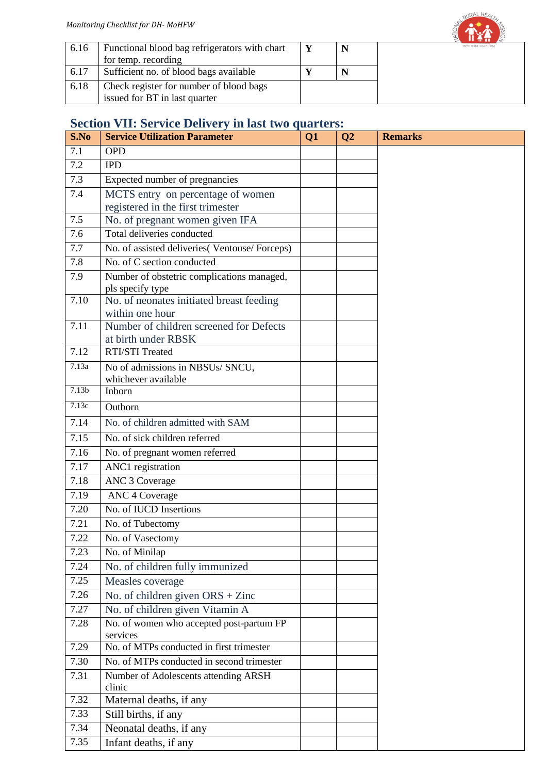

| 6.16 | Functional blood bag refrigerators with chart<br>for temp. recording     |  |
|------|--------------------------------------------------------------------------|--|
| 6.17 | Sufficient no. of blood bags available                                   |  |
| 6.18 | Check register for number of blood bags<br>issued for BT in last quarter |  |
|      |                                                                          |  |

### **Section VII: Service Delivery in last two quarters:**

| S.No              | <b>Service Utilization Parameter</b>                       | Q1 | Q <sub>2</sub> | <b>Remarks</b> |
|-------------------|------------------------------------------------------------|----|----------------|----------------|
| 7.1               | <b>OPD</b>                                                 |    |                |                |
| 7.2               | <b>IPD</b>                                                 |    |                |                |
| 7.3               | Expected number of pregnancies                             |    |                |                |
| 7.4               | MCTS entry on percentage of women                          |    |                |                |
|                   | registered in the first trimester                          |    |                |                |
| 7.5               | No. of pregnant women given IFA                            |    |                |                |
| 7.6               | Total deliveries conducted                                 |    |                |                |
| 7.7               | No. of assisted deliveries (Ventouse/Forceps)              |    |                |                |
| 7.8               | No. of C section conducted                                 |    |                |                |
| 7.9               | Number of obstetric complications managed,                 |    |                |                |
|                   | pls specify type                                           |    |                |                |
| 7.10              | No. of neonates initiated breast feeding                   |    |                |                |
| 7.11              | within one hour<br>Number of children screened for Defects |    |                |                |
|                   | at birth under RBSK                                        |    |                |                |
| 7.12              | <b>RTI/STI Treated</b>                                     |    |                |                |
| 7.13a             | No of admissions in NBSUs/ SNCU,                           |    |                |                |
|                   | whichever available                                        |    |                |                |
| 7.13 <sub>b</sub> | Inborn                                                     |    |                |                |
| 7.13c             | Outborn                                                    |    |                |                |
| 7.14              | No. of children admitted with SAM                          |    |                |                |
| 7.15              | No. of sick children referred                              |    |                |                |
| 7.16              | No. of pregnant women referred                             |    |                |                |
| 7.17              | ANC1 registration                                          |    |                |                |
| 7.18              | <b>ANC 3 Coverage</b>                                      |    |                |                |
| 7.19              | <b>ANC 4 Coverage</b>                                      |    |                |                |
| 7.20              | No. of IUCD Insertions                                     |    |                |                |
| 7.21              | No. of Tubectomy                                           |    |                |                |
| 7.22              | No. of Vasectomy                                           |    |                |                |
| 7.23              | No. of Minilap                                             |    |                |                |
| 7.24              | No. of children fully immunized                            |    |                |                |
| 7.25              | Measles coverage                                           |    |                |                |
| 7.26              | No. of children given $ORS + Zinc$                         |    |                |                |
| 7.27              | No. of children given Vitamin A                            |    |                |                |
| 7.28              | No. of women who accepted post-partum FP                   |    |                |                |
|                   | services                                                   |    |                |                |
| 7.29              | No. of MTPs conducted in first trimester                   |    |                |                |
| 7.30              | No. of MTPs conducted in second trimester                  |    |                |                |
| 7.31              | Number of Adolescents attending ARSH<br>clinic             |    |                |                |
| 7.32              | Maternal deaths, if any                                    |    |                |                |
| 7.33              | Still births, if any                                       |    |                |                |
| 7.34              | Neonatal deaths, if any                                    |    |                |                |
| 7.35              | Infant deaths, if any                                      |    |                |                |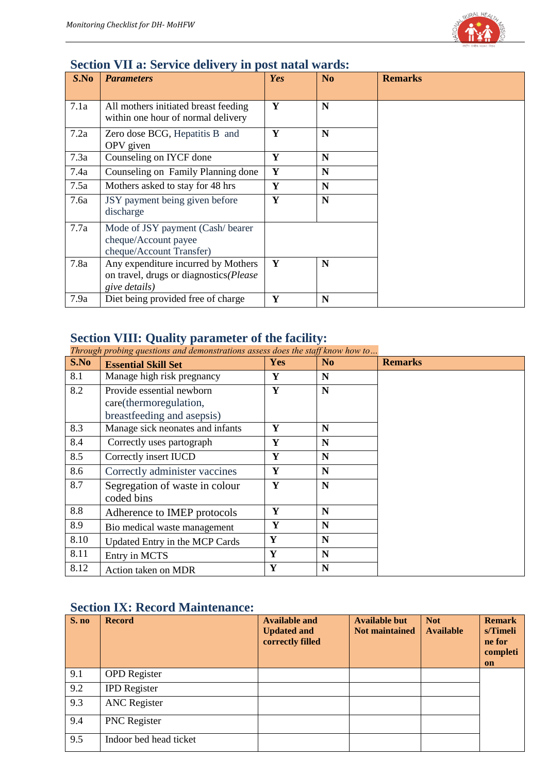

#### **Section VII a: Service delivery in post natal wards:**

| S.No | <b>Parameters</b>                                                                              | Yes | N <sub>0</sub> | <b>Remarks</b> |
|------|------------------------------------------------------------------------------------------------|-----|----------------|----------------|
| 7.1a | All mothers initiated breast feeding<br>within one hour of normal delivery                     | Y   | N              |                |
| 7.2a | Zero dose BCG, Hepatitis B and<br>OPV given                                                    | Y   | N              |                |
| 7.3a | Counseling on IYCF done                                                                        | Y   | N              |                |
| 7.4a | Counseling on Family Planning done                                                             | Y   | N              |                |
| 7.5a | Mothers asked to stay for 48 hrs                                                               | Y   | N              |                |
| 7.6a | JSY payment being given before<br>discharge                                                    | Y   | N              |                |
| 7.7a | Mode of JSY payment (Cash/bearer<br>cheque/Account payee<br>cheque/Account Transfer)           |     |                |                |
| 7.8a | Any expenditure incurred by Mothers<br>on travel, drugs or diagnostics(Please<br>give details) | Y   | N              |                |
| 7.9a | Diet being provided free of charge                                                             | Y   | N              |                |

#### **Section VIII: Quality parameter of the facility:**

*Through probing questions and demonstrations assess does the staff know how to…*

| S.No | <b>Essential Skill Set</b>                                                        | <b>Yes</b> | N <sub>0</sub> | <b>Remarks</b> |
|------|-----------------------------------------------------------------------------------|------------|----------------|----------------|
| 8.1  | Manage high risk pregnancy                                                        | Y          | N              |                |
| 8.2  | Provide essential newborn<br>care(thermoregulation,<br>breastfeeding and asepsis) | Y          | N              |                |
| 8.3  | Manage sick neonates and infants                                                  | Y          | N              |                |
| 8.4  | Correctly uses partograph                                                         | Y          | N              |                |
| 8.5  | Correctly insert IUCD                                                             | Y          | N              |                |
| 8.6  | Correctly administer vaccines                                                     | Y          | N              |                |
| 8.7  | Segregation of waste in colour<br>coded bins                                      | Y          | N              |                |
| 8.8  | Adherence to IMEP protocols                                                       | Y          | N              |                |
| 8.9  | Bio medical waste management                                                      | Y          | N              |                |
| 8.10 | Updated Entry in the MCP Cards                                                    | Y          | N              |                |
| 8.11 | Entry in MCTS                                                                     | Y          | N              |                |
| 8.12 | Action taken on MDR                                                               | Y          | N              |                |

### **Section IX: Record Maintenance:**

| S. no | <b>Record</b>          | <b>Available and</b><br><b>Updated and</b><br>correctly filled | <b>Available but</b><br><b>Not maintained</b> | <b>Not</b><br><b>Available</b> | <b>Remark</b><br>s/Timeli<br>ne for<br>completi<br><b>on</b> |
|-------|------------------------|----------------------------------------------------------------|-----------------------------------------------|--------------------------------|--------------------------------------------------------------|
| 9.1   | <b>OPD</b> Register    |                                                                |                                               |                                |                                                              |
| 9.2   | <b>IPD</b> Register    |                                                                |                                               |                                |                                                              |
| 9.3   | <b>ANC</b> Register    |                                                                |                                               |                                |                                                              |
| 9.4   | <b>PNC</b> Register    |                                                                |                                               |                                |                                                              |
| 9.5   | Indoor bed head ticket |                                                                |                                               |                                |                                                              |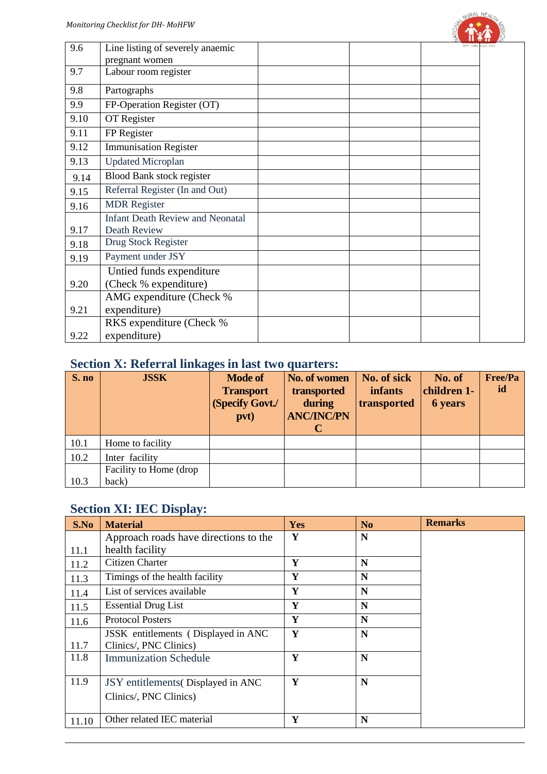| 9.6  | Line listing of severely anaemic        |  |
|------|-----------------------------------------|--|
|      | pregnant women                          |  |
| 9.7  | Labour room register                    |  |
| 9.8  | Partographs                             |  |
| 9.9  | FP-Operation Register (OT)              |  |
| 9.10 | OT Register                             |  |
| 9.11 | FP Register                             |  |
| 9.12 | <b>Immunisation Register</b>            |  |
| 9.13 | <b>Updated Microplan</b>                |  |
| 9.14 | Blood Bank stock register               |  |
| 9.15 | Referral Register (In and Out)          |  |
| 9.16 | <b>MDR</b> Register                     |  |
|      | <b>Infant Death Review and Neonatal</b> |  |
| 9.17 | Death Review                            |  |
| 9.18 | Drug Stock Register                     |  |
| 9.19 | Payment under JSY                       |  |
|      | Untied funds expenditure                |  |
| 9.20 | (Check % expenditure)                   |  |
|      | AMG expenditure (Check %                |  |
| 9.21 | expenditure)                            |  |
|      | RKS expenditure (Check %                |  |
| 9.22 | expenditure)                            |  |
|      |                                         |  |

### **Section X: Referral linkages in last two quarters:**

| S. no | <b>JSSK</b>             | <b>Mode of</b><br><b>Transport</b> | No. of women<br>transported | No. of sick<br>infants | No. of<br>children 1- | <b>Free/Pa</b><br>id |
|-------|-------------------------|------------------------------------|-----------------------------|------------------------|-----------------------|----------------------|
|       |                         | (Specify Govt./                    | during                      | transported            | <b>6</b> years        |                      |
|       |                         | pvt)                               | <b>ANC/INC/PN</b>           |                        |                       |                      |
|       |                         |                                    |                             |                        |                       |                      |
| 10.1  | Home to facility        |                                    |                             |                        |                       |                      |
| 10.2  | Inter facility          |                                    |                             |                        |                       |                      |
|       | Facility to Home (drop) |                                    |                             |                        |                       |                      |
| 10.3  | back)                   |                                    |                             |                        |                       |                      |

### **Section XI: IEC Display:**

| S.No  | <b>Material</b>                                               | <b>Yes</b> | N <sub>o</sub> | <b>Remarks</b> |
|-------|---------------------------------------------------------------|------------|----------------|----------------|
|       | Approach roads have directions to the                         | Y          | N              |                |
| 11.1  | health facility                                               |            |                |                |
| 11.2  | Citizen Charter                                               | Y          | N              |                |
| 11.3  | Timings of the health facility                                | Y          | N              |                |
| 11.4  | List of services available                                    | Y          | N              |                |
| 11.5  | <b>Essential Drug List</b>                                    | Y          | N              |                |
| 11.6  | <b>Protocol Posters</b>                                       | Y          | N              |                |
| 11.7  | JSSK entitlements (Displayed in ANC<br>Clinics/, PNC Clinics) | Y          | N              |                |
| 11.8  | <b>Immunization Schedule</b>                                  | Y          | N              |                |
| 11.9  | JSY entitlements (Displayed in ANC<br>Clinics/, PNC Clinics)  | Y          | N              |                |
| 11.10 | Other related IEC material                                    | Y          | N              |                |